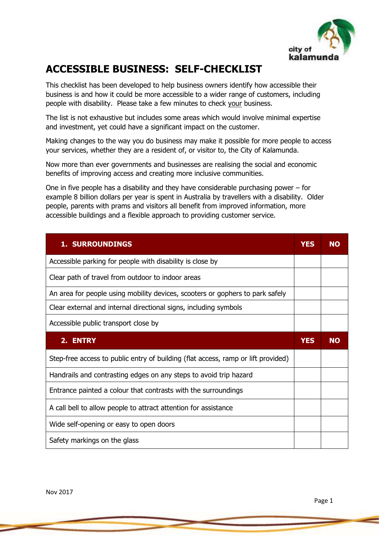

# **ACCESSIBLE BUSINESS: SELF-CHECKLIST**

This checklist has been developed to help business owners identify how accessible their business is and how it could be more accessible to a wider range of customers, including people with disability. Please take a few minutes to check your business.

The list is not exhaustive but includes some areas which would involve minimal expertise and investment, yet could have a significant impact on the customer.

Making changes to the way you do business may make it possible for more people to access your services, whether they are a resident of, or visitor to, the City of Kalamunda.

Now more than ever governments and businesses are realising the social and economic benefits of improving access and creating more inclusive communities.

One in five people has a disability and they have considerable purchasing power – for example 8 billion dollars per year is spent in Australia by travellers with a disability. Older people, parents with prams and visitors all benefit from improved information, more accessible buildings and a flexible approach to providing customer service.

| <b>1. SURROUNDINGS</b>                                                            | YES        | NΟ        |
|-----------------------------------------------------------------------------------|------------|-----------|
| Accessible parking for people with disability is close by                         |            |           |
| Clear path of travel from outdoor to indoor areas                                 |            |           |
| An area for people using mobility devices, scooters or gophers to park safely     |            |           |
| Clear external and internal directional signs, including symbols                  |            |           |
| Accessible public transport close by                                              |            |           |
| 2. ENTRY                                                                          | <b>YES</b> | <b>NO</b> |
|                                                                                   |            |           |
| Step-free access to public entry of building (flat access, ramp or lift provided) |            |           |
| Handrails and contrasting edges on any steps to avoid trip hazard                 |            |           |
| Entrance painted a colour that contrasts with the surroundings                    |            |           |
| A call bell to allow people to attract attention for assistance                   |            |           |
| Wide self-opening or easy to open doors                                           |            |           |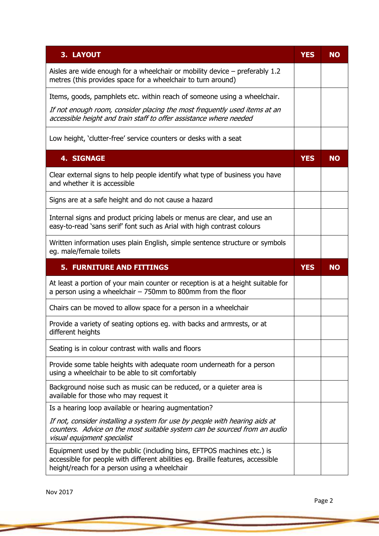| 3. LAYOUT                                                                                                                                                                               | <b>YES</b> | <b>NO</b> |
|-----------------------------------------------------------------------------------------------------------------------------------------------------------------------------------------|------------|-----------|
| Aisles are wide enough for a wheelchair or mobility device $-$ preferably 1.2<br>metres (this provides space for a wheelchair to turn around)                                           |            |           |
| Items, goods, pamphlets etc. within reach of someone using a wheelchair.                                                                                                                |            |           |
| If not enough room, consider placing the most frequently used items at an<br>accessible height and train staff to offer assistance where needed                                         |            |           |
| Low height, 'clutter-free' service counters or desks with a seat                                                                                                                        |            |           |
| <b>4. SIGNAGE</b>                                                                                                                                                                       | <b>YES</b> | <b>NO</b> |
| Clear external signs to help people identify what type of business you have<br>and whether it is accessible                                                                             |            |           |
| Signs are at a safe height and do not cause a hazard                                                                                                                                    |            |           |
| Internal signs and product pricing labels or menus are clear, and use an<br>easy-to-read 'sans serif' font such as Arial with high contrast colours                                     |            |           |
| Written information uses plain English, simple sentence structure or symbols<br>eg. male/female toilets                                                                                 |            |           |
| <b>5. FURNITURE AND FITTINGS</b>                                                                                                                                                        | <b>YES</b> | <b>NO</b> |
| At least a portion of your main counter or reception is at a height suitable for<br>a person using a wheelchair - 750mm to 800mm from the floor                                         |            |           |
| Chairs can be moved to allow space for a person in a wheelchair                                                                                                                         |            |           |
| Provide a variety of seating options eg. with backs and armrests, or at<br>different heights                                                                                            |            |           |
| Seating is in colour contrast with walls and floors                                                                                                                                     |            |           |
| Provide some table heights with adequate room underneath for a person<br>using a wheelchair to be able to sit comfortably                                                               |            |           |
| Background noise such as music can be reduced, or a quieter area is                                                                                                                     |            |           |
| available for those who may request it                                                                                                                                                  |            |           |
| Is a hearing loop available or hearing augmentation?                                                                                                                                    |            |           |
| If not, consider installing a system for use by people with hearing aids at<br>counters. Advice on the most suitable system can be sourced from an audio<br>visual equipment specialist |            |           |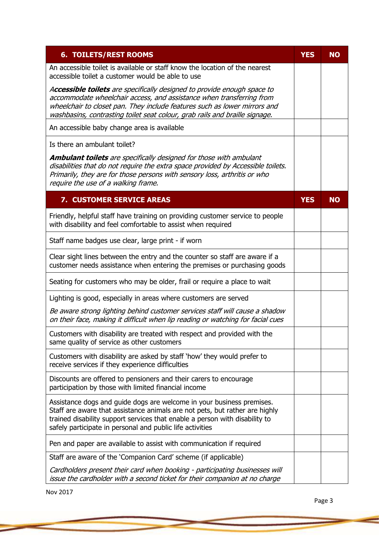| <b>6. TOILETS/REST ROOMS</b>                                                                                                                                                                                                                                                                                | <b>YES</b> | <b>NO</b> |
|-------------------------------------------------------------------------------------------------------------------------------------------------------------------------------------------------------------------------------------------------------------------------------------------------------------|------------|-----------|
| An accessible toilet is available or staff know the location of the nearest<br>accessible toilet a customer would be able to use                                                                                                                                                                            |            |           |
| Accessible toilets are specifically designed to provide enough space to<br>accommodate wheelchair access, and assistance when transferring from<br>wheelchair to closet pan. They include features such as lower mirrors and<br>washbasins, contrasting toilet seat colour, grab rails and braille signage. |            |           |
| An accessible baby change area is available                                                                                                                                                                                                                                                                 |            |           |
| Is there an ambulant toilet?                                                                                                                                                                                                                                                                                |            |           |
| <b>Ambulant toilets</b> are specifically designed for those with ambulant<br>disabilities that do not require the extra space provided by Accessible toilets.<br>Primarily, they are for those persons with sensory loss, arthritis or who<br>require the use of a walking frame.                           |            |           |
| 7. CUSTOMER SERVICE AREAS                                                                                                                                                                                                                                                                                   | <b>YES</b> | <b>NO</b> |
| Friendly, helpful staff have training on providing customer service to people<br>with disability and feel comfortable to assist when required                                                                                                                                                               |            |           |
| Staff name badges use clear, large print - if worn                                                                                                                                                                                                                                                          |            |           |
| Clear sight lines between the entry and the counter so staff are aware if a<br>customer needs assistance when entering the premises or purchasing goods                                                                                                                                                     |            |           |
| Seating for customers who may be older, frail or require a place to wait                                                                                                                                                                                                                                    |            |           |
| Lighting is good, especially in areas where customers are served                                                                                                                                                                                                                                            |            |           |
| Be aware strong lighting behind customer services staff will cause a shadow<br>on their face, making it difficult when lip reading or watching for facial cues                                                                                                                                              |            |           |
| Customers with disability are treated with respect and provided with the<br>same quality of service as other customers                                                                                                                                                                                      |            |           |
| Customers with disability are asked by staff 'how' they would prefer to<br>receive services if they experience difficulties                                                                                                                                                                                 |            |           |
| Discounts are offered to pensioners and their carers to encourage<br>participation by those with limited financial income                                                                                                                                                                                   |            |           |
| Assistance dogs and guide dogs are welcome in your business premises.<br>Staff are aware that assistance animals are not pets, but rather are highly<br>trained disability support services that enable a person with disability to<br>safely participate in personal and public life activities            |            |           |
| Pen and paper are available to assist with communication if required                                                                                                                                                                                                                                        |            |           |
| Staff are aware of the 'Companion Card' scheme (if applicable)                                                                                                                                                                                                                                              |            |           |
| Cardholders present their card when booking - participating businesses will<br>issue the cardholder with a second ticket for their companion at no charge                                                                                                                                                   |            |           |

Nov 2017